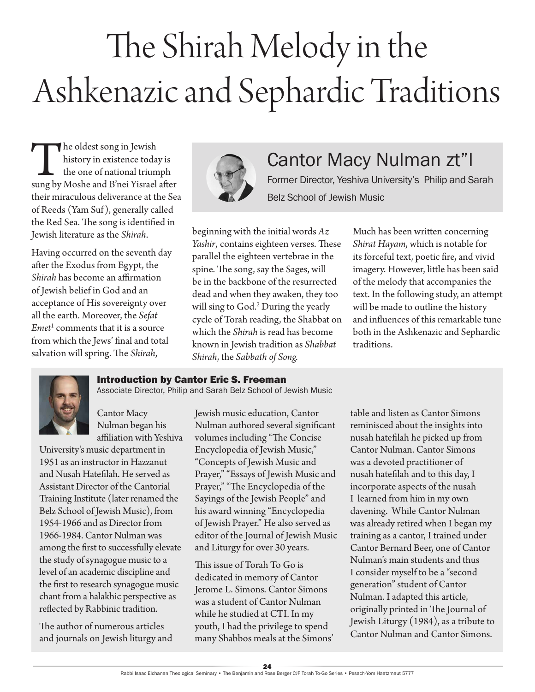# The Shirah Melody in the Ashkenazic and Sephardic Traditions

The oldest song in Jewish<br>history in existence today is<br>the one of national triumph<br>sung by Moshe and B'nei Yisrael after history in existence today is the one of national triumph their miraculous deliverance at the Sea of Reeds (Yam Suf), generally called the Red Sea. The song is identified in Jewish literature as the *Shirah.*

Having occurred on the seventh day after the Exodus from Egypt, the *Shirah* has become an affirmation of Jewish belief in God and an acceptance of His sovereignty over all the earth. Moreover, the *Sefat Emet*<sup>1</sup> comments that it is a source from which the Jews' final and total salvation will spring. The *Shirah*,



## Cantor Macy Nulman zt"l

Former Director, Yeshiva University's Philip and Sarah Belz School of Jewish Music

beginning with the initial words *Az Yashir*, contains eighteen verses. These parallel the eighteen vertebrae in the spine. The song, say the Sages, will be in the backbone of the resurrected dead and when they awaken, they too will sing to God.<sup>2</sup> During the yearly cycle of Torah reading, the Shabbat on which the *Shirah* is read has become known in Jewish tradition as *Shabbat Shirah*, the *Sabbath of Song.* 

Much has been written concerning *Shirat Hayam*, which is notable for its forceful text, poetic fire, and vivid imagery. However, little has been said of the melody that accompanies the text. In the following study, an attempt will be made to outline the history and influences of this remarkable tune both in the Ashkenazic and Sephardic traditions.

#### Introduction by Cantor Eric S. Freeman

Associate Director, Philip and Sarah Belz School of Jewish Music

Cantor Macy Nulman began his affiliation with Yeshiva

University's music department in 1951 as an instructor in Hazzanut and Nusah Hatefilah. He served as Assistant Director of the Cantorial Training Institute (later renamed the Belz School of Jewish Music), from 1954-1966 and as Director from 1966-1984. Cantor Nulman was among the first to successfully elevate the study of synagogue music to a level of an academic discipline and the first to research synagogue music chant from a halakhic perspective as reflected by Rabbinic tradition.

The author of numerous articles and journals on Jewish liturgy and Jewish music education, Cantor Nulman authored several significant volumes including "The Concise Encyclopedia of Jewish Music," "Concepts of Jewish Music and Prayer," "Essays of Jewish Music and Prayer," "The Encyclopedia of the Sayings of the Jewish People" and his award winning "Encyclopedia of Jewish Prayer." He also served as editor of the Journal of Jewish Music and Liturgy for over 30 years.

This issue of Torah To Go is dedicated in memory of Cantor Jerome L. Simons. Cantor Simons was a student of Cantor Nulman while he studied at CTI. In my youth, I had the privilege to spend many Shabbos meals at the Simons'

table and listen as Cantor Simons reminisced about the insights into nusah hatefilah he picked up from Cantor Nulman. Cantor Simons was a devoted practitioner of nusah hatefilah and to this day, I incorporate aspects of the nusah I learned from him in my own davening. While Cantor Nulman was already retired when I began my training as a cantor, I trained under Cantor Bernard Beer, one of Cantor Nulman's main students and thus I consider myself to be a "second generation" student of Cantor Nulman. I adapted this article, originally printed in The Journal of Jewish Liturgy (1984), as a tribute to Cantor Nulman and Cantor Simons.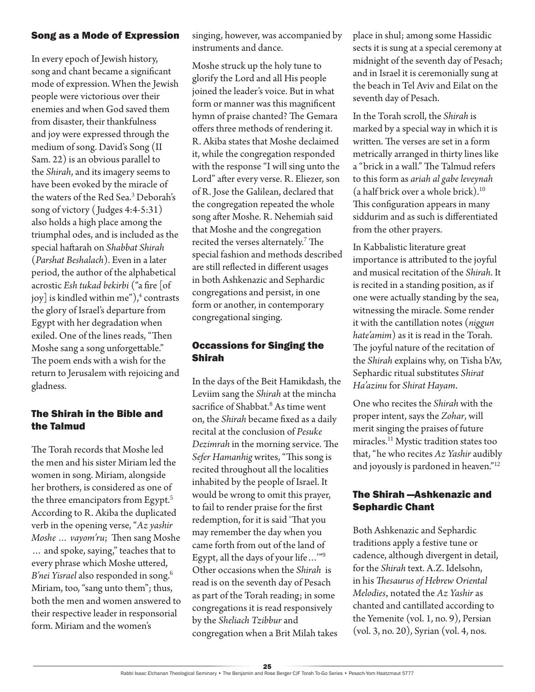#### Song as a Mode of Expression

In every epoch of Jewish history, song and chant became a significant mode of expression. When the Jewish people were victorious over their enemies and when God saved them from disaster, their thankfulness and joy were expressed through the medium of song. David's Song (II Sam. 22) is an obvious parallel to the *Shirah*, and its imagery seems to have been evoked by the miracle of the waters of the Red Sea.3 Deborah's song of victory ( Judges 4:4-5:31) also holds a high place among the triumphal odes, and is included as the special haftarah on *Shabbat Shirah*  (*Parshat Beshalach*). Even in a later period, the author of the alphabetical acrostic *Esh tukad bekirbi* ("a fire [of joy] is kindled within me"), $^4$  contrasts the glory of Israel's departure from Egypt with her degradation when exiled. One of the lines reads, "Then Moshe sang a song unforgettable." The poem ends with a wish for the return to Jerusalem with rejoicing and gladness.

#### The Shirah in the Bible and the Talmud

The Torah records that Moshe led the men and his sister Miriam led the women in song. Miriam, alongside her brothers, is considered as one of the three emancipators from Egypt.<sup>5</sup> According to R. Akiba the duplicated verb in the opening verse, "*Az yashir Moshe … vayom'ru*; Then sang Moshe … and spoke, saying," teaches that to every phrase which Moshe uttered, *B'nei Yisrael* also responded in song.<sup>6</sup> Miriam, too, "sang unto them"; thus, both the men and women answered to their respective leader in responsorial form. Miriam and the women's

singing, however, was accompanied by instruments and dance.

Moshe struck up the holy tune to glorify the Lord and all His people joined the leader's voice. But in what form or manner was this magnificent hymn of praise chanted? The Gemara offers three methods of rendering it. R. Akiba states that Moshe declaimed it, while the congregation responded with the response "I will sing unto the Lord" after every verse. R. Eliezer, son of R. Jose the Galilean, declared that the congregation repeated the whole song after Moshe. R. Nehemiah said that Moshe and the congregation recited the verses alternately.<sup>7</sup> The special fashion and methods described are still reflected in different usages in both Ashkenazic and Sephardic congregations and persist, in one form or another, in contemporary congregational singing.

### Occassions for Singing the Shirah

In the days of the Beit Hamikdash, the Leviim sang the *Shirah* at the mincha sacrifice of Shabbat.<sup>8</sup> As time went on, the *Shirah* became fixed as a daily recital at the conclusion of *Pesuke Dezimrah* in the morning service. The *Sefer Hamanhig* writes, "This song is recited throughout all the localities inhabited by the people of Israel. It would be wrong to omit this prayer, to fail to render praise for the first redemption, for it is said 'That you may remember the day when you came forth from out of the land of Egypt, all the days of your life…'"<sup>9</sup> Other occasions when the *Shirah* is read is on the seventh day of Pesach as part of the Torah reading; in some congregations it is read responsively by the *Sheliach Tzibbur* and congregation when a Brit Milah takes

place in shul; among some Hassidic sects it is sung at a special ceremony at midnight of the seventh day of Pesach; and in Israel it is ceremonially sung at the beach in Tel Aviv and Eilat on the seventh day of Pesach.

In the Torah scroll, the *Shirah* is marked by a special way in which it is written. The verses are set in a form metrically arranged in thirty lines like a "brick in a wall." The Talmud refers to this form as *ariah al gabe leveynah* (a half brick over a whole brick).<sup>10</sup> This configuration appears in many siddurim and as such is differentiated from the other prayers.

In Kabbalistic literature great importance is attributed to the joyful and musical recitation of the *Shirah*. It is recited in a standing position, as if one were actually standing by the sea, witnessing the miracle. Some render it with the cantillation notes (*niggun hate'amim*) as it is read in the Torah. The joyful nature of the recitation of the *Shirah* explains why, on Tisha b'Av, Sephardic ritual substitutes *Shirat Ha'azinu* for *Shirat Hayam*.

One who recites the *Shirah* with the proper intent, says the *Zohar*, will merit singing the praises of future miracles.<sup>11</sup> Mystic tradition states too that, "he who recites *Az Yashir* audibly and joyously is pardoned in heaven."<sup>12</sup>

#### The Shirah —Ashkenazic and Sephardic Chant

Both Ashkenazic and Sephardic traditions apply a festive tune or cadence, although divergent in detail, for the *Shirah* text. A.Z. Idelsohn, in his *Thesaurus of Hebrew Oriental Melodies*, notated the *Az Yashir* as chanted and cantillated according to the Yemenite (vol. 1, no. 9), Persian (vol. 3, no. 20), Syrian (vol. 4, nos.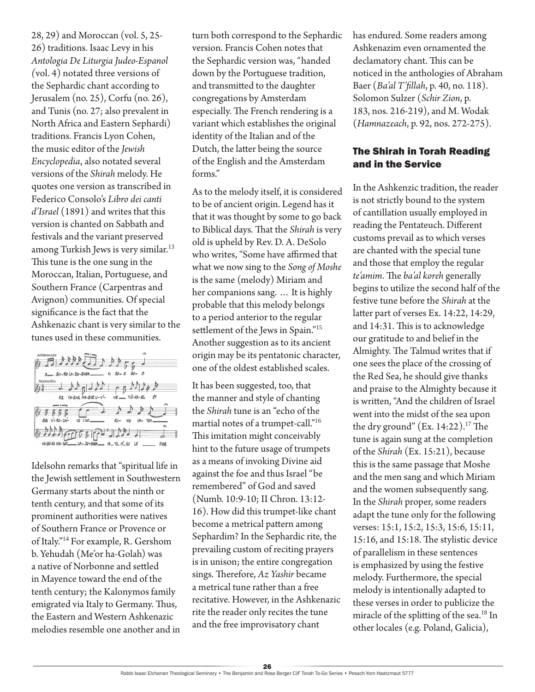28, 29) and Moroccan (vol. 5, 25- 26) traditions. Isaac Levy in his *Antologia De Liturgia Judeo-Espanol (*vol. 4) notated three versions of the Sephardic chant according to Jerusalem (no. 25), Corfu (no. 26), and Tunis (no. 27; also prevalent in North Africa and Eastern Sephardi) traditions. Francis Lyon Cohen, the music editor of the *Jewish Encyclopedia*, also notated several versions of the *Shirah* melody. He quotes one version as transcribed in Federico Consolo's *Libro dei canti d'Israel* (1891) and writes that this version is chanted on Sabbath and festivals and the variant preserved among Turkish Jews is very similar.<sup>13</sup> This tune is the one sung in the Moroccan, Italian, Portuguese, and Southern France (Carpentras and Avignon) communities. Of special significance is the fact that the Ashkenazic chant is very similar to the tunes used in these communities.

| Ashkenazio                                             |                                                      |
|--------------------------------------------------------|------------------------------------------------------|
| 379447744417                                           |                                                      |
|                                                        |                                                      |
|                                                        |                                                      |
|                                                        |                                                      |
|                                                        | $K_1$ $60 - 0$<br>$-40-$<br>$\overline{\phantom{a}}$ |
| O_ SHI-RO LR-DO-SHEM.                                  |                                                      |
|                                                        |                                                      |
| Sephardio                                              |                                                      |
|                                                        |                                                      |
| $RdD$ $\cdot$ $R$                                      |                                                      |
|                                                        |                                                      |
| YA-SHIR MO-SHE U-V'-<br>Az                             | $NE$ $ViS-RA-EL$<br>٤r                               |
|                                                        |                                                      |
|                                                        |                                                      |
|                                                        |                                                      |
|                                                        |                                                      |
|                                                        |                                                      |
| $SUS$ $V - RO - CH -$<br>$\sqrt{\sigma}$ ( $\gamma$ o) |                                                      |
|                                                        | RO-<br>۷A٠<br>YOM<br>mo                              |
|                                                        | $\rightarrow$                                        |
|                                                        |                                                      |
|                                                        |                                                      |
|                                                        |                                                      |
|                                                        |                                                      |
| HA-SH-RA HA- 201 __ LA - 30- SHEM __ VA_YO_M_RU        | LE<br>moe                                            |
|                                                        |                                                      |
|                                                        |                                                      |

Idelsohn remarks that "spiritual life in the Jewish settlement in Southwestern Germany starts about the ninth or tenth century, and that some of its prominent authorities were natives of Southern France or Provence or of Italy."<sup>14</sup> For example, R. Gershom b. Yehudah (Me'or ha-Golah) was a native of Norbonne and settled in Mayence toward the end of the tenth century; the Kalonymos family emigrated via Italy to Germany. Thus, the Eastern and Western Ashkenazic melodies resemble one another and in

turn both correspond to the Sephardic version. Francis Cohen notes that the Sephardic version was, "handed down by the Portuguese tradition, and transmitted to the daughter congregations by Amsterdam especially. The French rendering is a variant which establishes the original identity of the Italian and of the Dutch, the latter being the source of the English and the Amsterdam forms."

As to the melody itself, it is considered to be of ancient origin. Legend has it that it was thought by some to go back to Biblical days. That the *Shirah* is very old is upheld by Rev. D. A. DeSolo who writes, "Some have affirmed that what we now sing to the *Song of Moshe* is the same (melody) Miriam and her companions sang. … It is highly probable that this melody belongs to a period anterior to the regular settlement of the Jews in Spain."<sup>15</sup> Another suggestion as to its ancient origin may be its pentatonic character, one of the oldest established scales.

It has been suggested, too, that the manner and style of chanting the *Shirah* tune is an "echo of the martial notes of a trumpet-call."<sup>16</sup> This imitation might conceivably hint to the future usage of trumpets as a means of invoking Divine aid against the foe and thus Israel "be remembered" of God and saved (Numb. 10:9-10; II Chron. 13:12- 16). How did this trumpet-like chant become a metrical pattern among Sephardim? In the Sephardic rite, the prevailing custom of reciting prayers is in unison; the entire congregation sings. Therefore, *Az Yashir* became a metrical tune rather than a free recitative. However, in the Ashkenazic rite the reader only recites the tune and the free improvisatory chant

has endured. Some readers among Ashkenazim even ornamented the declamatory chant. This can be noticed in the anthologies of Abraham Baer (*Ba'al T'fillah*, p. 40, no. 118). Solomon Sulzer (*Schir Zion*, p. 183, nos. 216-219), and M. Wodak (*Hamnazeach*, p. 92, nos. 272-275).

#### The Shirah in Torah Reading and in the Service

In the Ashkenzic tradition, the reader is not strictly bound to the system of cantillation usually employed in reading the Pentateuch. Different customs prevail as to which verses are chanted with the special tune and those that employ the regular *te'amim*. The *ba'al koreh* generally begins to utilize the second half of the festive tune before the *Shirah* at the latter part of verses Ex. 14:22, 14:29, and 14:31. This is to acknowledge our gratitude to and belief in the Almighty. The Talmud writes that if one sees the place of the crossing of the Red Sea, he should give thanks and praise to the Almighty because it is written, "And the children of Israel went into the midst of the sea upon the dry ground" (Ex. 14:22). $17$  The tune is again sung at the completion of the *Shirah* (Ex. 15:21), because this is the same passage that Moshe and the men sang and which Miriam and the women subsequently sang. In the *Shirah* proper, some readers adapt the tune only for the following verses: 15:1, 15:2, 15:3, 15:6, 15:11, 15:16, and 15:18. The stylistic device of parallelism in these sentences is emphasized by using the festive melody. Furthermore, the special melody is intentionally adapted to these verses in order to publicize the miracle of the splitting of the sea.<sup>18</sup> In other locales (e.g. Poland, Galicia),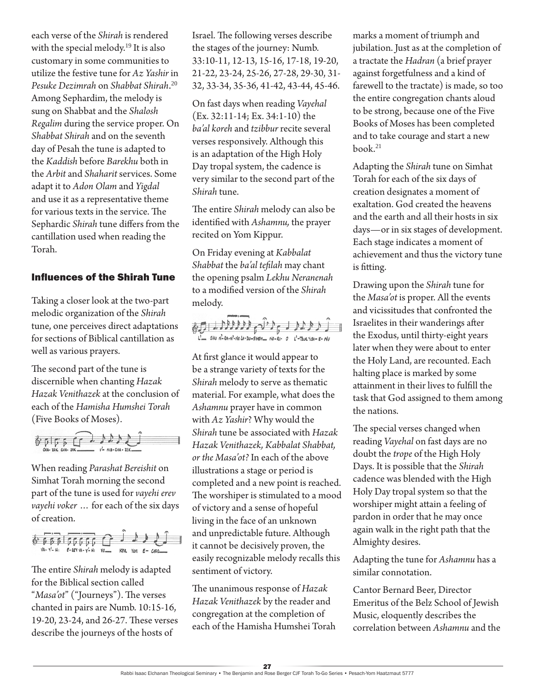each verse of the *Shirah* is rendered with the special melody.<sup>19</sup> It is also customary in some communities to utilize the festive tune for *Az Yashir* in *Pesuke Dezimrah* on *Shabbat Shirah*. 20 Among Sephardim, the melody is sung on Shabbat and the *Shalosh Regalim* during the service proper. On *Shabbat Shirah* and on the seventh day of Pesah the tune is adapted to the *Kaddish* before *Barekhu* both in the *Arbit* and *Shaharit* services. Some adapt it to *Adon Olam* and *Yigdal* and use it as a representative theme for various texts in the service. The Sephardic *Shirah* tune differs from the cantillation used when reading the Torah.

#### Influences of the Shirah Tune

Taking a closer look at the two-part melodic organization of the *Shirah*  tune, one perceives direct adaptations for sections of Biblical cantillation as well as various prayers.

The second part of the tune is discernible when chanting *Hazak Hazak Venithazek* at the conclusion of each of the *Hamisha Humshei Torah* (Five Books of Moses).



When reading *Parashat Bereishit* on Simhat Torah morning the second part of the tune is used for *vayehi erev vayehi voker* … for each of the six days of creation.



The entire *Shirah* melody is adapted for the Biblical section called "*Masa'ot*" ("Journeys"). The verses chanted in pairs are Numb. 10:15-16, 19-20, 23-24, and 26-27. These verses describe the journeys of the hosts of

Israel. The following verses describe the stages of the journey: Numb. 33:10-11, 12-13, 15-16, 17-18, 19-20, 21-22, 23-24, 25-26, 27-28, 29-30, 31- 32, 33-34, 35-36, 41-42, 43-44, 45-46.

On fast days when reading *Vayehal* (Ex. 32:11-14; Ex. 34:1-10) the *ba'al koreh* and *tzibbur* recite several verses responsively. Although this is an adaptation of the High Holy Day tropal system, the cadence is very similar to the second part of the *Shirah* tune.

The entire *Shirah* melody can also be identified with *Ashamnu,* the prayer recited on Yom Kippur.

On Friday evening at *Kabbalat Shabbat* the *ba'al tefilah* may chant the opening psalm *Lekhu Neranenah* to a modified version of the *Shirah*  melody.



At first glance it would appear to be a strange variety of texts for the *Shirah* melody to serve as thematic material. For example, what does the *Ashamnu* prayer have in common with *Az Yashir*? Why would the *Shirah* tune be associated with *Hazak Hazak Venithazek, Kabbalat Shabbat, or the Masa'ot?* In each of the above illustrations a stage or period is completed and a new point is reached. The worshiper is stimulated to a mood of victory and a sense of hopeful living in the face of an unknown and unpredictable future. Although it cannot be decisively proven, the easily recognizable melody recalls this sentiment of victory.

The unanimous response of *Hazak Hazak Venithazek* by the reader and congregation at the completion of each of the Hamisha Humshei Torah marks a moment of triumph and jubilation. Just as at the completion of a tractate the *Hadran* (a brief prayer against forgetfulness and a kind of farewell to the tractate) is made, so too the entire congregation chants aloud to be strong, because one of the Five Books of Moses has been completed and to take courage and start a new book.<sup>21</sup>

Adapting the *Shirah* tune on Simhat Torah for each of the six days of creation designates a moment of exaltation. God created the heavens and the earth and all their hosts in six days—or in six stages of development. Each stage indicates a moment of achievement and thus the victory tune is fitting.

Drawing upon the *Shirah* tune for the *Masa'ot* is proper. All the events and vicissitudes that confronted the Israelites in their wanderings after the Exodus, until thirty-eight years later when they were about to enter the Holy Land, are recounted. Each halting place is marked by some attainment in their lives to fulfill the task that God assigned to them among the nations.

The special verses changed when reading *Vayehal* on fast days are no doubt the *trope* of the High Holy Days. It is possible that the *Shirah* cadence was blended with the High Holy Day tropal system so that the worshiper might attain a feeling of pardon in order that he may once again walk in the right path that the Almighty desires.

Adapting the tune for *Ashamnu* has a similar connotation.

Cantor Bernard Beer, Director Emeritus of the Belz School of Jewish Music, eloquently describes the correlation between *Ashamnu* and the